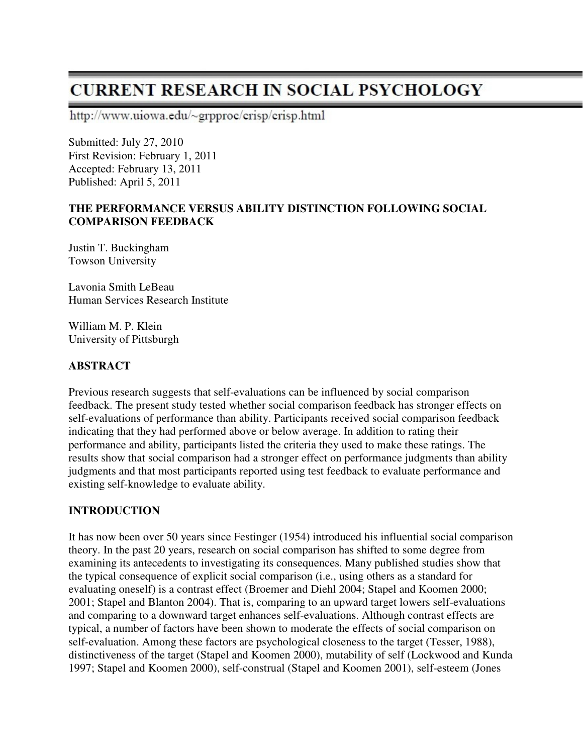# **CURRENT RESEARCH IN SOCIAL PSYCHOLOGY**

http://www.uiowa.edu/~grpproc/crisp/crisp.html

Submitted: July 27, 2010 First Revision: February 1, 2011 Accepted: February 13, 2011 Published: April 5, 2011

#### **THE PERFORMANCE VERSUS ABILITY DISTINCTION FOLLOWING SOCIAL COMPARISON FEEDBACK**

Justin T. Buckingham Towson University

Lavonia Smith LeBeau Human Services Research Institute

William M. P. Klein University of Pittsburgh

#### **ABSTRACT**

Previous research suggests that self-evaluations can be influenced by social comparison feedback. The present study tested whether social comparison feedback has stronger effects on self-evaluations of performance than ability. Participants received social comparison feedback indicating that they had performed above or below average. In addition to rating their performance and ability, participants listed the criteria they used to make these ratings. The results show that social comparison had a stronger effect on performance judgments than ability judgments and that most participants reported using test feedback to evaluate performance and existing self-knowledge to evaluate ability.

#### **INTRODUCTION**

It has now been over 50 years since Festinger (1954) introduced his influential social comparison theory. In the past 20 years, research on social comparison has shifted to some degree from examining its antecedents to investigating its consequences. Many published studies show that the typical consequence of explicit social comparison (i.e., using others as a standard for evaluating oneself) is a contrast effect (Broemer and Diehl 2004; Stapel and Koomen 2000; 2001; Stapel and Blanton 2004). That is, comparing to an upward target lowers self-evaluations and comparing to a downward target enhances self-evaluations. Although contrast effects are typical, a number of factors have been shown to moderate the effects of social comparison on self-evaluation. Among these factors are psychological closeness to the target (Tesser, 1988), distinctiveness of the target (Stapel and Koomen 2000), mutability of self (Lockwood and Kunda 1997; Stapel and Koomen 2000), self-construal (Stapel and Koomen 2001), self-esteem (Jones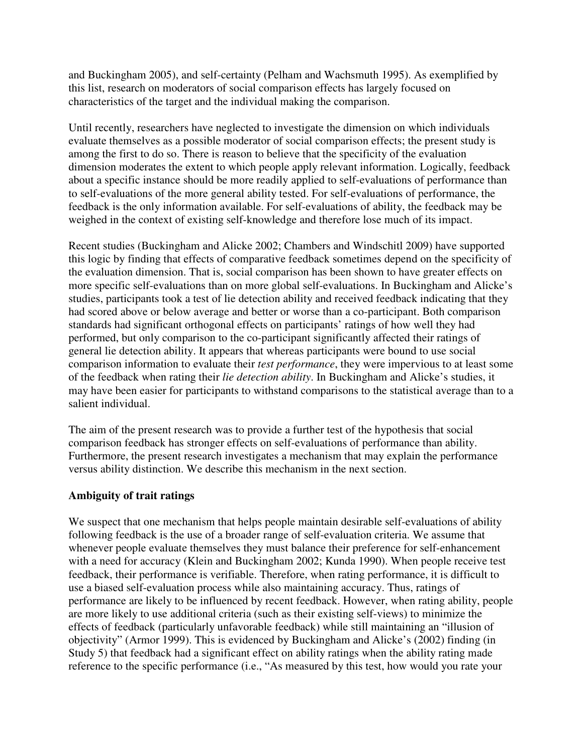and Buckingham 2005), and self-certainty (Pelham and Wachsmuth 1995). As exemplified by this list, research on moderators of social comparison effects has largely focused on characteristics of the target and the individual making the comparison.

Until recently, researchers have neglected to investigate the dimension on which individuals evaluate themselves as a possible moderator of social comparison effects; the present study is among the first to do so. There is reason to believe that the specificity of the evaluation dimension moderates the extent to which people apply relevant information. Logically, feedback about a specific instance should be more readily applied to self-evaluations of performance than to self-evaluations of the more general ability tested. For self-evaluations of performance, the feedback is the only information available. For self-evaluations of ability, the feedback may be weighed in the context of existing self-knowledge and therefore lose much of its impact.

Recent studies (Buckingham and Alicke 2002; Chambers and Windschitl 2009) have supported this logic by finding that effects of comparative feedback sometimes depend on the specificity of the evaluation dimension. That is, social comparison has been shown to have greater effects on more specific self-evaluations than on more global self-evaluations. In Buckingham and Alicke's studies, participants took a test of lie detection ability and received feedback indicating that they had scored above or below average and better or worse than a co-participant. Both comparison standards had significant orthogonal effects on participants' ratings of how well they had performed, but only comparison to the co-participant significantly affected their ratings of general lie detection ability. It appears that whereas participants were bound to use social comparison information to evaluate their *test performance*, they were impervious to at least some of the feedback when rating their *lie detection ability*. In Buckingham and Alicke's studies, it may have been easier for participants to withstand comparisons to the statistical average than to a salient individual.

The aim of the present research was to provide a further test of the hypothesis that social comparison feedback has stronger effects on self-evaluations of performance than ability. Furthermore, the present research investigates a mechanism that may explain the performance versus ability distinction. We describe this mechanism in the next section.

#### **Ambiguity of trait ratings**

We suspect that one mechanism that helps people maintain desirable self-evaluations of ability following feedback is the use of a broader range of self-evaluation criteria. We assume that whenever people evaluate themselves they must balance their preference for self-enhancement with a need for accuracy (Klein and Buckingham 2002; Kunda 1990). When people receive test feedback, their performance is verifiable. Therefore, when rating performance, it is difficult to use a biased self-evaluation process while also maintaining accuracy. Thus, ratings of performance are likely to be influenced by recent feedback. However, when rating ability, people are more likely to use additional criteria (such as their existing self-views) to minimize the effects of feedback (particularly unfavorable feedback) while still maintaining an "illusion of objectivity" (Armor 1999). This is evidenced by Buckingham and Alicke's (2002) finding (in Study 5) that feedback had a significant effect on ability ratings when the ability rating made reference to the specific performance (i.e., "As measured by this test, how would you rate your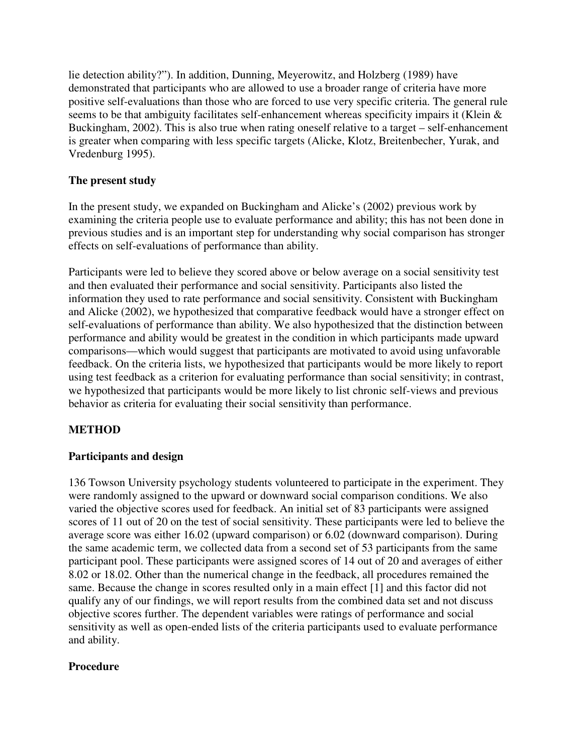lie detection ability?"). In addition, Dunning, Meyerowitz, and Holzberg (1989) have demonstrated that participants who are allowed to use a broader range of criteria have more positive self-evaluations than those who are forced to use very specific criteria. The general rule seems to be that ambiguity facilitates self-enhancement whereas specificity impairs it (Klein & Buckingham, 2002). This is also true when rating oneself relative to a target – self-enhancement is greater when comparing with less specific targets (Alicke, Klotz, Breitenbecher, Yurak, and Vredenburg 1995).

### **The present study**

In the present study, we expanded on Buckingham and Alicke's (2002) previous work by examining the criteria people use to evaluate performance and ability; this has not been done in previous studies and is an important step for understanding why social comparison has stronger effects on self-evaluations of performance than ability.

Participants were led to believe they scored above or below average on a social sensitivity test and then evaluated their performance and social sensitivity. Participants also listed the information they used to rate performance and social sensitivity. Consistent with Buckingham and Alicke (2002), we hypothesized that comparative feedback would have a stronger effect on self-evaluations of performance than ability. We also hypothesized that the distinction between performance and ability would be greatest in the condition in which participants made upward comparisons—which would suggest that participants are motivated to avoid using unfavorable feedback. On the criteria lists, we hypothesized that participants would be more likely to report using test feedback as a criterion for evaluating performance than social sensitivity; in contrast, we hypothesized that participants would be more likely to list chronic self-views and previous behavior as criteria for evaluating their social sensitivity than performance.

# **METHOD**

#### **Participants and design**

136 Towson University psychology students volunteered to participate in the experiment. They were randomly assigned to the upward or downward social comparison conditions. We also varied the objective scores used for feedback. An initial set of 83 participants were assigned scores of 11 out of 20 on the test of social sensitivity. These participants were led to believe the average score was either 16.02 (upward comparison) or 6.02 (downward comparison). During the same academic term, we collected data from a second set of 53 participants from the same participant pool. These participants were assigned scores of 14 out of 20 and averages of either 8.02 or 18.02. Other than the numerical change in the feedback, all procedures remained the same. Because the change in scores resulted only in a main effect [1] and this factor did not qualify any of our findings, we will report results from the combined data set and not discuss objective scores further. The dependent variables were ratings of performance and social sensitivity as well as open-ended lists of the criteria participants used to evaluate performance and ability.

#### **Procedure**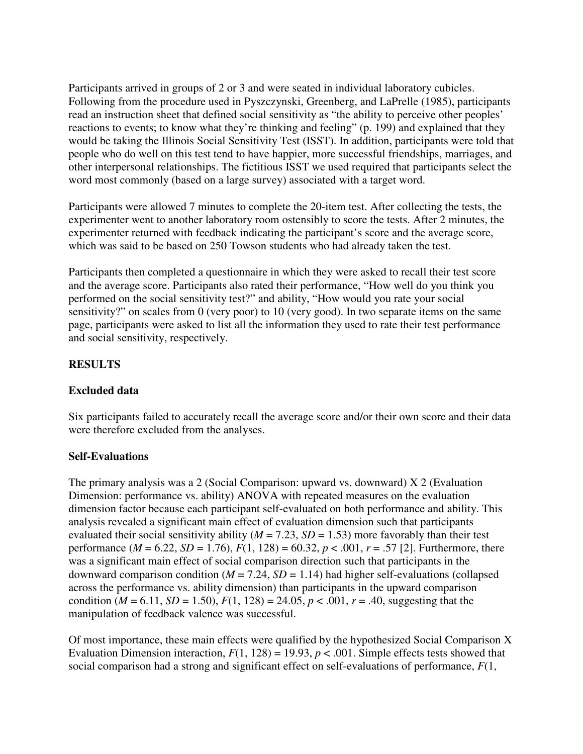Participants arrived in groups of 2 or 3 and were seated in individual laboratory cubicles. Following from the procedure used in Pyszczynski, Greenberg, and LaPrelle (1985), participants read an instruction sheet that defined social sensitivity as "the ability to perceive other peoples' reactions to events; to know what they're thinking and feeling" (p. 199) and explained that they would be taking the Illinois Social Sensitivity Test (ISST). In addition, participants were told that people who do well on this test tend to have happier, more successful friendships, marriages, and other interpersonal relationships. The fictitious ISST we used required that participants select the word most commonly (based on a large survey) associated with a target word.

Participants were allowed 7 minutes to complete the 20-item test. After collecting the tests, the experimenter went to another laboratory room ostensibly to score the tests. After 2 minutes, the experimenter returned with feedback indicating the participant's score and the average score, which was said to be based on 250 Towson students who had already taken the test.

Participants then completed a questionnaire in which they were asked to recall their test score and the average score. Participants also rated their performance, "How well do you think you performed on the social sensitivity test?" and ability, "How would you rate your social sensitivity?" on scales from 0 (very poor) to 10 (very good). In two separate items on the same page, participants were asked to list all the information they used to rate their test performance and social sensitivity, respectively.

## **RESULTS**

#### **Excluded data**

Six participants failed to accurately recall the average score and/or their own score and their data were therefore excluded from the analyses.

#### **Self-Evaluations**

The primary analysis was a 2 (Social Comparison: upward vs. downward) X 2 (Evaluation Dimension: performance vs. ability) ANOVA with repeated measures on the evaluation dimension factor because each participant self-evaluated on both performance and ability. This analysis revealed a significant main effect of evaluation dimension such that participants evaluated their social sensitivity ability ( $M = 7.23$ ,  $SD = 1.53$ ) more favorably than their test performance ( $M = 6.22$ ,  $SD = 1.76$ ),  $F(1, 128) = 60.32$ ,  $p < .001$ ,  $r = .57$  [2]. Furthermore, there was a significant main effect of social comparison direction such that participants in the downward comparison condition  $(M = 7.24, SD = 1.14)$  had higher self-evaluations (collapsed across the performance vs. ability dimension) than participants in the upward comparison condition ( $M = 6.11$ ,  $SD = 1.50$ ),  $F(1, 128) = 24.05$ ,  $p < .001$ ,  $r = .40$ , suggesting that the manipulation of feedback valence was successful.

Of most importance, these main effects were qualified by the hypothesized Social Comparison X Evaluation Dimension interaction,  $F(1, 128) = 19.93$ ,  $p < .001$ . Simple effects tests showed that social comparison had a strong and significant effect on self-evaluations of performance, *F*(1,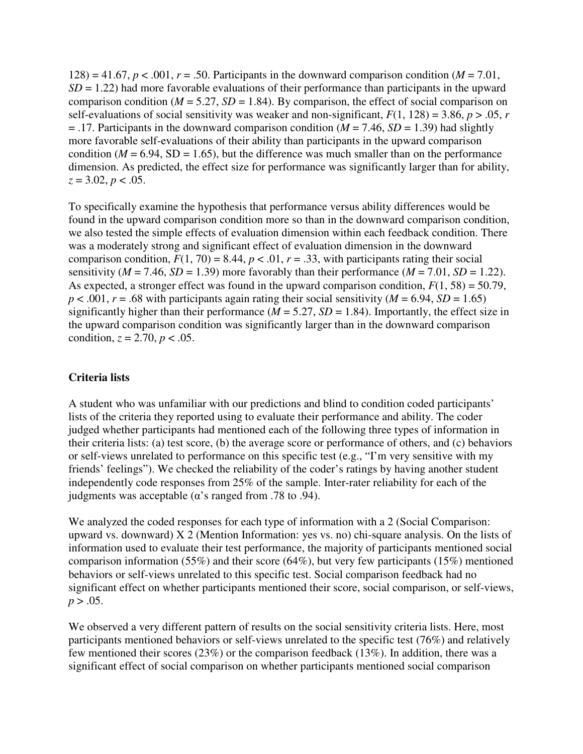128) = 41.67,  $p < .001$ ,  $r = .50$ . Participants in the downward comparison condition ( $M = 7.01$ ,  $SD = 1.22$ ) had more favorable evaluations of their performance than participants in the upward comparison condition ( $M = 5.27$ ,  $SD = 1.84$ ). By comparison, the effect of social comparison on self-evaluations of social sensitivity was weaker and non-significant,  $F(1, 128) = 3.86$ ,  $p > .05$ , *r*  $= .17$ . Participants in the downward comparison condition ( $M = 7.46$ ,  $SD = 1.39$ ) had slightly more favorable self-evaluations of their ability than participants in the upward comparison condition ( $M = 6.94$ , SD = 1.65), but the difference was much smaller than on the performance dimension. As predicted, the effect size for performance was significantly larger than for ability, *z* = 3.02, *p* < .05.

To specifically examine the hypothesis that performance versus ability differences would be found in the upward comparison condition more so than in the downward comparison condition, we also tested the simple effects of evaluation dimension within each feedback condition. There was a moderately strong and significant effect of evaluation dimension in the downward comparison condition,  $F(1, 70) = 8.44$ ,  $p < .01$ ,  $r = .33$ , with participants rating their social sensitivity ( $M = 7.46$ ,  $SD = 1.39$ ) more favorably than their performance ( $M = 7.01$ ,  $SD = 1.22$ ). As expected, a stronger effect was found in the upward comparison condition,  $F(1, 58) = 50.79$ ,  $p < .001$ ,  $r = .68$  with participants again rating their social sensitivity ( $M = 6.94$ ,  $SD = 1.65$ ) significantly higher than their performance ( $M = 5.27$ ,  $SD = 1.84$ ). Importantly, the effect size in the upward comparison condition was significantly larger than in the downward comparison condition,  $z = 2.70$ ,  $p < .05$ .

#### **Criteria lists**

A student who was unfamiliar with our predictions and blind to condition coded participants' lists of the criteria they reported using to evaluate their performance and ability. The coder judged whether participants had mentioned each of the following three types of information in their criteria lists: (a) test score, (b) the average score or performance of others, and (c) behaviors or self-views unrelated to performance on this specific test (e.g., "I'm very sensitive with my friends' feelings"). We checked the reliability of the coder's ratings by having another student independently code responses from 25% of the sample. Inter-rater reliability for each of the judgments was acceptable ( $\alpha$ 's ranged from .78 to .94).

We analyzed the coded responses for each type of information with a 2 (Social Comparison: upward vs. downward)  $X$  2 (Mention Information: yes vs. no) chi-square analysis. On the lists of information used to evaluate their test performance, the majority of participants mentioned social comparison information (55%) and their score (64%), but very few participants (15%) mentioned behaviors or self-views unrelated to this specific test. Social comparison feedback had no significant effect on whether participants mentioned their score, social comparison, or self-views,  $p > .05$ .

We observed a very different pattern of results on the social sensitivity criteria lists. Here, most participants mentioned behaviors or self-views unrelated to the specific test (76%) and relatively few mentioned their scores (23%) or the comparison feedback (13%). In addition, there was a significant effect of social comparison on whether participants mentioned social comparison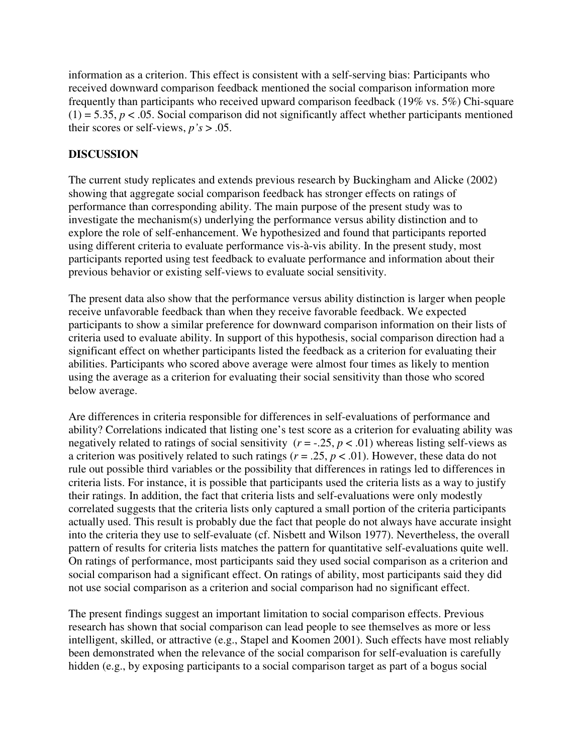information as a criterion. This effect is consistent with a self-serving bias: Participants who received downward comparison feedback mentioned the social comparison information more frequently than participants who received upward comparison feedback (19% vs. 5%) Chi-square  $(1) = 5.35, p < .05$ . Social comparison did not significantly affect whether participants mentioned their scores or self-views,  $p's > .05$ .

### **DISCUSSION**

The current study replicates and extends previous research by Buckingham and Alicke (2002) showing that aggregate social comparison feedback has stronger effects on ratings of performance than corresponding ability. The main purpose of the present study was to investigate the mechanism(s) underlying the performance versus ability distinction and to explore the role of self-enhancement. We hypothesized and found that participants reported using different criteria to evaluate performance vis-à-vis ability. In the present study, most participants reported using test feedback to evaluate performance and information about their previous behavior or existing self-views to evaluate social sensitivity.

The present data also show that the performance versus ability distinction is larger when people receive unfavorable feedback than when they receive favorable feedback. We expected participants to show a similar preference for downward comparison information on their lists of criteria used to evaluate ability. In support of this hypothesis, social comparison direction had a significant effect on whether participants listed the feedback as a criterion for evaluating their abilities. Participants who scored above average were almost four times as likely to mention using the average as a criterion for evaluating their social sensitivity than those who scored below average.

Are differences in criteria responsible for differences in self-evaluations of performance and ability? Correlations indicated that listing one's test score as a criterion for evaluating ability was negatively related to ratings of social sensitivity  $(r = -.25, p < .01)$  whereas listing self-views as a criterion was positively related to such ratings ( $r = .25$ ,  $p < .01$ ). However, these data do not rule out possible third variables or the possibility that differences in ratings led to differences in criteria lists. For instance, it is possible that participants used the criteria lists as a way to justify their ratings. In addition, the fact that criteria lists and self-evaluations were only modestly correlated suggests that the criteria lists only captured a small portion of the criteria participants actually used. This result is probably due the fact that people do not always have accurate insight into the criteria they use to self-evaluate (cf. Nisbett and Wilson 1977). Nevertheless, the overall pattern of results for criteria lists matches the pattern for quantitative self-evaluations quite well. On ratings of performance, most participants said they used social comparison as a criterion and social comparison had a significant effect. On ratings of ability, most participants said they did not use social comparison as a criterion and social comparison had no significant effect.

The present findings suggest an important limitation to social comparison effects. Previous research has shown that social comparison can lead people to see themselves as more or less intelligent, skilled, or attractive (e.g., Stapel and Koomen 2001). Such effects have most reliably been demonstrated when the relevance of the social comparison for self-evaluation is carefully hidden (e.g., by exposing participants to a social comparison target as part of a bogus social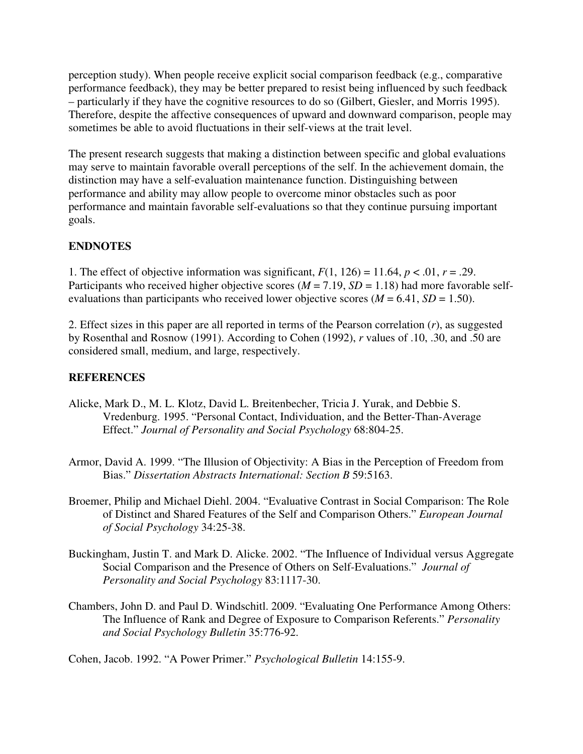perception study). When people receive explicit social comparison feedback (e.g., comparative performance feedback), they may be better prepared to resist being influenced by such feedback – particularly if they have the cognitive resources to do so (Gilbert, Giesler, and Morris 1995). Therefore, despite the affective consequences of upward and downward comparison, people may sometimes be able to avoid fluctuations in their self-views at the trait level.

The present research suggests that making a distinction between specific and global evaluations may serve to maintain favorable overall perceptions of the self. In the achievement domain, the distinction may have a self-evaluation maintenance function. Distinguishing between performance and ability may allow people to overcome minor obstacles such as poor performance and maintain favorable self-evaluations so that they continue pursuing important goals.

## **ENDNOTES**

1. The effect of objective information was significant,  $F(1, 126) = 11.64$ ,  $p < .01$ ,  $r = .29$ . Participants who received higher objective scores ( $M = 7.19$ ,  $SD = 1.18$ ) had more favorable selfevaluations than participants who received lower objective scores  $(M = 6.41, SD = 1.50)$ .

2. Effect sizes in this paper are all reported in terms of the Pearson correlation (*r*), as suggested by Rosenthal and Rosnow (1991). According to Cohen (1992), *r* values of .10, .30, and .50 are considered small, medium, and large, respectively.

### **REFERENCES**

- Alicke, Mark D., M. L. Klotz, David L. Breitenbecher, Tricia J. Yurak, and Debbie S. Vredenburg. 1995. "Personal Contact, Individuation, and the Better-Than-Average Effect." *Journal of Personality and Social Psychology* 68:804-25.
- Armor, David A. 1999. "The Illusion of Objectivity: A Bias in the Perception of Freedom from Bias." *Dissertation Abstracts International: Section B* 59:5163.
- Broemer, Philip and Michael Diehl. 2004. "Evaluative Contrast in Social Comparison: The Role of Distinct and Shared Features of the Self and Comparison Others." *European Journal of Social Psychology* 34:25-38.
- Buckingham, Justin T. and Mark D. Alicke. 2002. "The Influence of Individual versus Aggregate Social Comparison and the Presence of Others on Self-Evaluations." *Journal of Personality and Social Psychology* 83:1117-30.
- Chambers, John D. and Paul D. Windschitl. 2009. "Evaluating One Performance Among Others: The Influence of Rank and Degree of Exposure to Comparison Referents." *Personality and Social Psychology Bulletin* 35:776-92.

Cohen, Jacob. 1992. "A Power Primer." *Psychological Bulletin* 14:155-9.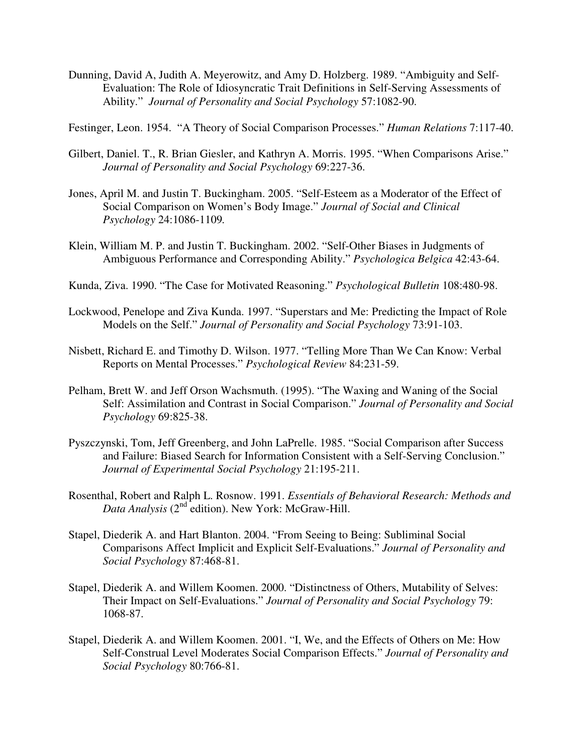Dunning, David A, Judith A. Meyerowitz, and Amy D. Holzberg. 1989. "Ambiguity and Self-Evaluation: The Role of Idiosyncratic Trait Definitions in Self-Serving Assessments of Ability." *Journal of Personality and Social Psychology* 57:1082-90.

Festinger, Leon. 1954. "A Theory of Social Comparison Processes." *Human Relations* 7:117-40.

- Gilbert, Daniel. T., R. Brian Giesler, and Kathryn A. Morris. 1995. "When Comparisons Arise." *Journal of Personality and Social Psychology* 69:227-36.
- Jones, April M. and Justin T. Buckingham. 2005. "Self-Esteem as a Moderator of the Effect of Social Comparison on Women's Body Image." *Journal of Social and Clinical Psychology* 24:1086-1109*.*
- Klein, William M. P. and Justin T. Buckingham. 2002. "Self-Other Biases in Judgments of Ambiguous Performance and Corresponding Ability." *Psychologica Belgica* 42:43-64.
- Kunda, Ziva. 1990. "The Case for Motivated Reasoning." *Psychological Bulletin* 108:480-98.
- Lockwood, Penelope and Ziva Kunda. 1997. "Superstars and Me: Predicting the Impact of Role Models on the Self." *Journal of Personality and Social Psychology* 73:91-103.
- Nisbett, Richard E. and Timothy D. Wilson. 1977. "Telling More Than We Can Know: Verbal Reports on Mental Processes." *Psychological Review* 84:231-59.
- Pelham, Brett W. and Jeff Orson Wachsmuth. (1995). "The Waxing and Waning of the Social Self: Assimilation and Contrast in Social Comparison." *Journal of Personality and Social Psychology* 69:825-38.
- Pyszczynski, Tom, Jeff Greenberg, and John LaPrelle. 1985. "Social Comparison after Success and Failure: Biased Search for Information Consistent with a Self-Serving Conclusion." *Journal of Experimental Social Psychology* 21:195-211.
- Rosenthal, Robert and Ralph L. Rosnow. 1991. *Essentials of Behavioral Research: Methods and Data Analysis* (2nd edition). New York: McGraw-Hill.
- Stapel, Diederik A. and Hart Blanton. 2004. "From Seeing to Being: Subliminal Social Comparisons Affect Implicit and Explicit Self-Evaluations." *Journal of Personality and Social Psychology* 87:468-81.
- Stapel, Diederik A. and Willem Koomen. 2000. "Distinctness of Others, Mutability of Selves: Their Impact on Self-Evaluations." *Journal of Personality and Social Psychology* 79: 1068-87.
- Stapel, Diederik A. and Willem Koomen. 2001. "I, We, and the Effects of Others on Me: How Self-Construal Level Moderates Social Comparison Effects." *Journal of Personality and Social Psychology* 80:766-81.